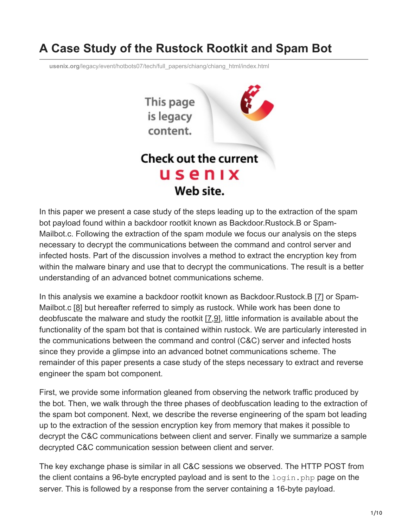## **A Case Study of the Rustock Rootkit and Spam Bot**

**usenix.org**[/legacy/event/hotbots07/tech/full\\_papers/chiang/chiang\\_html/index.html](https://www.usenix.org/legacy/event/hotbots07/tech/full_papers/chiang/chiang_html/index.html)



In this paper we present a case study of the steps leading up to the extraction of the spam bot payload found within a backdoor rootkit known as Backdoor.Rustock.B or Spam-Mailbot.c. Following the extraction of the spam module we focus our analysis on the steps necessary to decrypt the communications between the command and control server and infected hosts. Part of the discussion involves a method to extract the encryption key from within the malware binary and use that to decrypt the communications. The result is a better understanding of an advanced botnet communications scheme.

In this analysis we examine a backdoor rootkit known as Backdoor.Rustock.B [[7](https://www.usenix.org/legacy/event/hotbots07/tech/full_papers/chiang/chiang_html/index.html#symantec1)] or Spam-Mailbot.c [[8](https://www.usenix.org/legacy/event/hotbots07/tech/full_papers/chiang/chiang_html/index.html#mcafee1)] but hereafter referred to simply as rustock. While work has been done to deobfuscate the malware and study the rootkit [[7,](https://www.usenix.org/legacy/event/hotbots07/tech/full_papers/chiang/chiang_html/index.html#symantec1)[9\]](https://www.usenix.org/legacy/event/hotbots07/tech/full_papers/chiang/chiang_html/index.html#boldewin1), little information is available about the functionality of the spam bot that is contained within rustock. We are particularly interested in the communications between the command and control (C&C) server and infected hosts since they provide a glimpse into an advanced botnet communications scheme. The remainder of this paper presents a case study of the steps necessary to extract and reverse engineer the spam bot component.

First, we provide some information gleaned from observing the network traffic produced by the bot. Then, we walk through the three phases of deobfuscation leading to the extraction of the spam bot component. Next, we describe the reverse engineering of the spam bot leading up to the extraction of the session encryption key from memory that makes it possible to decrypt the C&C communications between client and server. Finally we summarize a sample decrypted C&C communication session between client and server.

The key exchange phase is similar in all C&C sessions we observed. The HTTP POST from the client contains a 96-byte encrypted payload and is sent to the  $login$ .  $php$  page on the server. This is followed by a response from the server containing a 16-byte payload.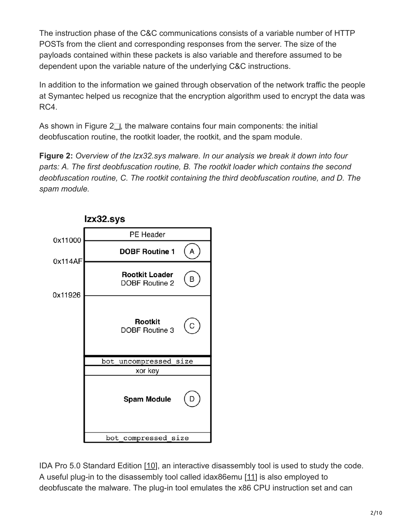The instruction phase of the C&C communications consists of a variable number of HTTP POSTs from the client and corresponding responses from the server. The size of the payloads contained within these packets is also variable and therefore assumed to be dependent upon the variable nature of the underlying C&C instructions.

In addition to the information we gained through observation of the network traffic the people at Symantec helped us recognize that the encryption algorithm used to encrypt the data was RC4.

As shown in Figure  $2\Box$ [,](#page-1-0) the malware contains four main components: the initial deobfuscation routine, the rootkit loader, the rootkit, and the spam module.

<span id="page-1-0"></span>**Figure 2:** *Overview of the lzx32.sys malware. In our analysis we break it down into four parts: A. The first deobfuscation routine, B. The rootkit loader which contains the second deobfuscation routine, C. The rootkit containing the third deobfuscation routine, and D. The spam module.*



IDA Pro 5.0 Standard Edition [[10](https://www.usenix.org/legacy/event/hotbots07/tech/full_papers/chiang/chiang_html/index.html#ida1)], an interactive disassembly tool is used to study the code. A useful plug-in to the disassembly tool called idax86emu [\[11\]](https://www.usenix.org/legacy/event/hotbots07/tech/full_papers/chiang/chiang_html/index.html#idax86emu1) is also employed to deobfuscate the malware. The plug-in tool emulates the x86 CPU instruction set and can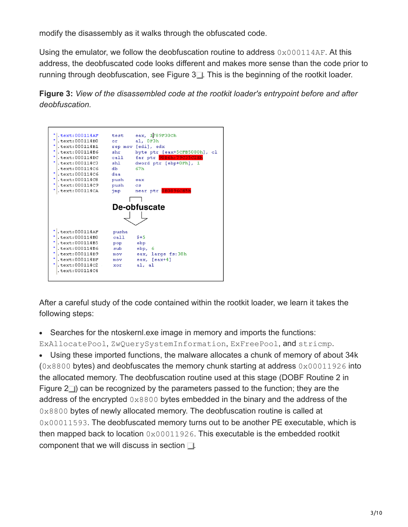modify the disassembly as it walks through the obfuscated code.

Using the emulator, we follow the deobfuscation routine to address  $0 \times 000114AF$ . At this address, the deobfuscated code looks different and makes more sense than the code prior to running through deobfuscation, see Figure  $3\Box$ . This is the beginning of the rootkit loader.

**Figure 3:** *View of the disassembled code at the rootkit loader's entrypoint before and after deobfuscation.*



After a careful study of the code contained within the rootkit loader, we learn it takes the following steps:

Searches for the ntoskernl.exe image in memory and imports the functions:

ExAllocatePool, ZwQuerySystemInformation, ExFreePool, and stricmp.

Using these imported functions, the malware allocates a chunk of memory of about 34k  $(0 \times 8800$  bytes) and deobfuscates the memory chunk starting at address  $0 \times 00011926$  into the allocated memory. The deobfuscation routine used at this stage (DOBF Routine 2 in Figure  $2\Box$ ) can be recognized by the parameters passed to the function; they are the address of the encrypted  $0 \times 8800$  bytes embedded in the binary and the address of the 0x8800 bytes of newly allocated memory. The deobfuscation routine is called at 0x00011593. The deobfuscated memory turns out to be another PE executable, which is then mapped back to location  $0 \times 00011926$ . This executable is the embedded rootkit component that we will discuss in section  $\Box$ .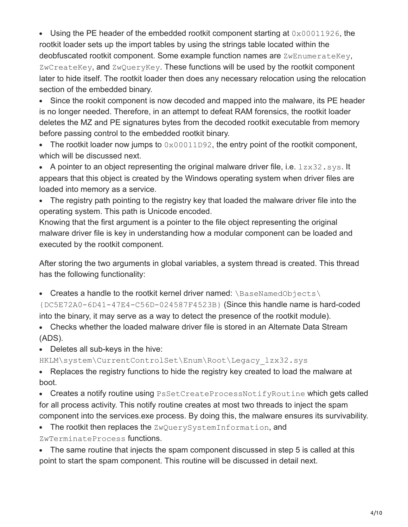Using the PE header of the embedded rootkit component starting at  $0 \times 00011926$ , the rootkit loader sets up the import tables by using the strings table located within the deobfuscated rootkit component. Some example function names are ZwEnumerateKey,  $ZwCreateKey$ , and  $ZwQueueryKey$ . These functions will be used by the rootkit component later to hide itself. The rootkit loader then does any necessary relocation using the relocation section of the embedded binary.

Since the rookit component is now decoded and mapped into the malware, its PE header is no longer needed. Therefore, in an attempt to defeat RAM forensics, the rootkit loader deletes the MZ and PE signatures bytes from the decoded rootkit executable from memory before passing control to the embedded rootkit binary.

• The rootkit loader now jumps to  $0 \times 00011D92$ , the entry point of the rootkit component, which will be discussed next.

A pointer to an object representing the original malware driver file, i.e.  $1zx32$ . sys. It appears that this object is created by the Windows operating system when driver files are loaded into memory as a service.

The registry path pointing to the registry key that loaded the malware driver file into the operating system. This path is Unicode encoded.

Knowing that the first argument is a pointer to the file object representing the original malware driver file is key in understanding how a modular component can be loaded and executed by the rootkit component.

After storing the two arguments in global variables, a system thread is created. This thread has the following functionality:

- Creates a handle to the rootkit kernel driver named:  $\Bbb$ BaseNamedObjects $\Bbb$ {DC5E72A0-6D41-47E4-C56D-024587F4523B} (Since this handle name is hard-coded into the binary, it may serve as a way to detect the presence of the rootkit module).
- Checks whether the loaded malware driver file is stored in an Alternate Data Stream (ADS).

Deletes all sub-keys in the hive:

HKLM\system\CurrentControlSet\Enum\Root\Legacy\_lzx32.sys

Replaces the registry functions to hide the registry key created to load the malware at boot.

Creates a notify routine using PsSetCreateProcessNotifyRoutine which gets called for all process activity. This notify routine creates at most two threads to inject the spam component into the services.exe process. By doing this, the malware ensures its survivability.

 $\bullet$  The rootkit then replaces the  $\texttt{ZwQuerySystemInformation},$  and

ZwTerminateProcess functions.

The same routine that injects the spam component discussed in step 5 is called at this point to start the spam component. This routine will be discussed in detail next.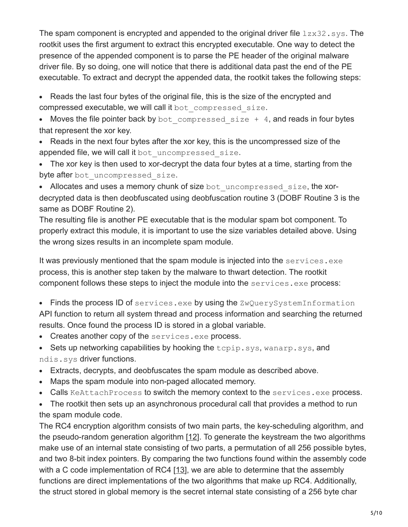The spam component is encrypted and appended to the original driver file  $1z \times 32$ . sys. The rootkit uses the first argument to extract this encrypted executable. One way to detect the presence of the appended component is to parse the PE header of the original malware driver file. By so doing, one will notice that there is additional data past the end of the PE executable. To extract and decrypt the appended data, the rootkit takes the following steps:

• Reads the last four bytes of the original file, this is the size of the encrypted and compressed executable, we will call it bot compressed size.

• Moves the file pointer back by bot compressed size  $+$  4, and reads in four bytes that represent the xor key.

Reads in the next four bytes after the xor key, this is the uncompressed size of the appended file, we will call it bot uncompressed size.

The xor key is then used to xor-decrypt the data four bytes at a time, starting from the byte after bot uncompressed size.

• Allocates and uses a memory chunk of size bot uncompressed size, the xordecrypted data is then deobfuscated using deobfuscation routine 3 (DOBF Routine 3 is the same as DOBF Routine 2).

The resulting file is another PE executable that is the modular spam bot component. To properly extract this module, it is important to use the size variables detailed above. Using the wrong sizes results in an incomplete spam module.

It was previously mentioned that the spam module is injected into the services.exe process, this is another step taken by the malware to thwart detection. The rootkit component follows these steps to inject the module into the  $s$ ervices.exe process:

- **Finds the process ID of** services.exe by using the  $\text{ZwQuerySystemInformation}$ API function to return all system thread and process information and searching the returned results. Once found the process ID is stored in a global variable.
- $\bullet$  Creates another copy of the services.exe process.
- $\bullet$  Sets up networking capabilities by hooking the  $\tt{topip}.sys$ , wanarp.sys, and ndis.sys driver functions.
- Extracts, decrypts, and deobfuscates the spam module as described above.
- Maps the spam module into non-paged allocated memory.
- Calls KeAttachProcess to switch the memory context to the services.exe process.

The rootkit then sets up an asynchronous procedural call that provides a method to run the spam module code.

The RC4 encryption algorithm consists of two main parts, the key-scheduling algorithm, and the pseudo-random generation algorithm [[12\]](https://www.usenix.org/legacy/event/hotbots07/tech/full_papers/chiang/chiang_html/index.html#schneier1). To generate the keystream the two algorithms make use of an internal state consisting of two parts, a permutation of all 256 possible bytes, and two 8-bit index pointers. By comparing the two functions found within the assembly code with a C code implementation of RC4 [[13](https://www.usenix.org/legacy/event/hotbots07/tech/full_papers/chiang/chiang_html/index.html#rc41)], we are able to determine that the assembly functions are direct implementations of the two algorithms that make up RC4. Additionally, the struct stored in global memory is the secret internal state consisting of a 256 byte char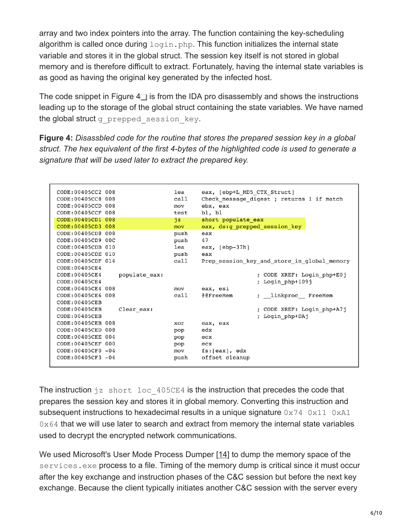array and two index pointers into the array. The function containing the key-scheduling algorithm is called once during  $login.php$ . This function initializes the internal state variable and stores it in the global struct. The session key itself is not stored in global memory and is therefore difficult to extract. Fortunately, having the internal state variables is as good as having the original key generated by the infected host.

The code snippet in Figure  $4\overline{\phantom{a}}$  is from the IDA pro disassembly and shows the instructions leading up to the storage of the global struct containing the state variables. We have named the global struct g prepped session key.

<span id="page-5-0"></span>**Figure 4:** *Disassbled code for the routine that stores the prepared session key in a global struct. The hex equivalent of the first 4-bytes of the highlighted code is used to generate a signature that will be used later to extract the prepared key.*

| CODE: 00405CC2 008 | lea           | eax, [ebp+L MD5 CTX Struct]                 |
|--------------------|---------------|---------------------------------------------|
| CODE:00405CC8 008  | call          | Check message digest ; returns 1 if match   |
| CODE:00405CCD 008  | mov           | ebx, eax                                    |
| CODE: 00405CCF 008 | test          | bl, bl                                      |
| CODE: 00405CD1 008 | ήz∴           | short populate eax                          |
| CODE: 00405CD3 008 | mov           | eax, ds:g prepped session key               |
| CODE:00405CD8 008  | push          | eax                                         |
| CODE:00405CD9 00C  | push          | 47                                          |
| CODE:00405CDB 010  | lea           | eax, $[ebp-37h]$                            |
| CODE: 00405CDE 010 | push          | eax                                         |
| CODE:00405CDF 014  | call          | Prep session key and store in global memory |
| CODE: 00405CE4     |               |                                             |
| CODE:00405CE4      | populate eax: | ; CODE XREF: Login php+E0j                  |
| CODE:00405CE4      |               | ; Login php+109j                            |
| CODE: 00405CE4 008 | mov           | eax, esi                                    |
| CODE: 00405CE6 008 | call          | @@FreeMem<br>; linkproc FreeMem             |
| CODE:00405CEB      |               |                                             |
| CODE:00405CEB      | Clear eax:    | ; CODE XREF: Login php+A7j                  |
| CODE:00405CEB      |               | ; Login php+DAj                             |
| CODE: 00405CEB 008 | xor           | eax, eax                                    |
| CODE: 00405CED 008 | pop           | edx                                         |
| CODE: 00405CEE 004 | pop           | ecx                                         |
| CODE: 00405CEF 000 | pop           | ecx                                         |
| CODE:00405CF0 -04  | mov           | fs:[eax], edx                               |
| CODE: 00405CF3 -04 | push          | offset cleanup                              |
|                    |               |                                             |

The instruction  $jz$  short loc 405CE4 is the instruction that precedes the code that prepares the session key and stores it in global memory. Converting this instruction and subsequent instructions to hexadecimal results in a unique signature  $0x74$   $0x11$   $0xA1$  $0 \times 64$  that we will use later to search and extract from memory the internal state variables used to decrypt the encrypted network communications.

We used Microsoft's User Mode Process Dumper [[14](https://www.usenix.org/legacy/event/hotbots07/tech/full_papers/chiang/chiang_html/index.html#userdump1)] to dump the memory space of the services.exe process to a file. Timing of the memory dump is critical since it must occur after the key exchange and instruction phases of the C&C session but before the next key exchange. Because the client typically initiates another C&C session with the server every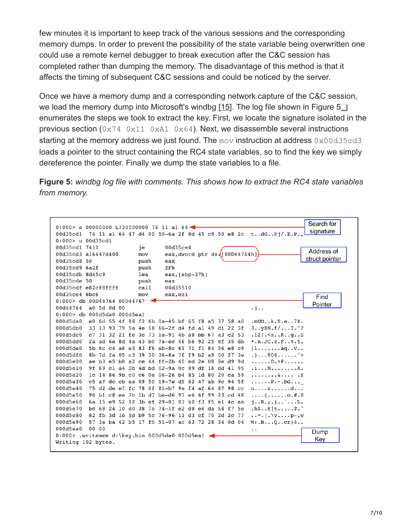few minutes it is important to keep track of the various sessions and the corresponding memory dumps. In order to prevent the possibility of the state variable being overwritten one could use a remote kernel debugger to break execution after the C&C session has completed rather than dumping the memory. The disadvantage of this method is that it affects the timing of subsequent C&C sessions and could be noticed by the server.

Once we have a memory dump and a corresponding network capture of the C&C session, we load the memory dump into Microsoft's windbg [[15\]](https://www.usenix.org/legacy/event/hotbots07/tech/full_papers/chiang/chiang_html/index.html#windbg1). The log file shown in Figure 5 enumerates the steps we took to extract the key. First, we locate the signature isolated in the previous section  $(0x74 \ 0x11 \ 0xA1 \ 0x64)$ . Next, we disassemble several instructions starting at the memory address we just found. The mov instruction at address  $0 \times 00d35cd3$ loads a pointer to the struct containing the RC4 state variables, so to find the key we simply dereference the pointer. Finally we dump the state variables to a file.

**Figure 5:** *windbg log file with comments. This shows how to extract the RC4 state variables from memory.*

| $0:000>$ s 00000000 L?30000000 74 11 a1 64 -                             | Search for                                                          |
|--------------------------------------------------------------------------|---------------------------------------------------------------------|
| 74 11 a1 64 47 d4 00 50-6a 2f 8d 45 c9 50 e8 2c tdGPj/.E.P.,<br>00d35cd1 | signature                                                           |
| $0:000>$ u 00d35cd1                                                      |                                                                     |
| 00d35cd1 7411<br>jе<br>00d35ce4                                          |                                                                     |
| eax, dword ptr ds: $(00D44764h)$<br>00d35cd3 a16447d400<br>mov           | Address of                                                          |
| 00d35cd8 50<br>push<br>eax                                               | struct pointer                                                      |
| 00d35cd9 6a2f<br>2Fh<br>push                                             |                                                                     |
| 00d35cdb 8d45c9<br>lea<br>eax, $[ebp-37h]$                               |                                                                     |
| 00d35cde 50<br>push<br>eax                                               |                                                                     |
| 00d35cdf e82cf8ffff<br>call<br>00d35510                                  |                                                                     |
| 00d35ce4 8bc6<br>eax, esi<br>mov                                         |                                                                     |
| $0:000>$ db 00D44764 00D44767 $\rightarrow$                              | Find                                                                |
| 00d44764<br>a0 5d 0d 00                                                  | Pointer                                                             |
| 0:000> db 000d5da0 000d5ea1                                              | $\cdot$ ] $\cdot$ .                                                 |
| e0 6d 55 4f 88 f2 6b 0a-45 bf 65 f8 a5 37 58 a0<br>000d5da0              | $.mUO.$ $k.E.e.$ $7X.$                                              |
| 000d5db0<br>33 13 93 79 5a 4e 18 66-2f d4 fd al 49 dl 22 3f              | $3 \cdot \cdot$ yZN.f/I."?                                          |
| 000d5dc0<br>c7 31 32 21 fe 3c 73 1a-91 4b a8 bb 67 a3 c2 53              | .12! . < s. . K. . g. . S                                           |
| 000d5dd0<br>2a ad 6e 8d 4a 43 b0 7a-ec 46 b6 92 25 8f 35 db              | $*$ .n. JC.z.F $8.5$ .                                              |
| 000d5de0<br>5b 6c c4 a6 e3 83 f6 eb-8c 61 71 f1 84 56 e8 c9              | [1aqV]                                                              |
| 8b 7d fa 05 c3 39 30 36-8a 7f f9 b2 a9 00 27 3e<br>000d5df0              | $. \} \ldots 906 \ldots \ldots$                                     |
| 000d5e00<br>ae b3 e5 b8 a2 ce 44 ff-2b 40 ed 2e 08 8e d9 9d              | $$ $+e$                                                             |
| 000d5e10<br>9f 69 cl a4 0b 4d bd 02-9a 0c 89 df 16 dd 41 95              | $\ldots$ $M$ $A$ .                                                  |
| 000d5e20<br>1c 14 86 9b c0 c6 0e 06-26 b4 85 1d 80 20 ca 59              | . & Y                                                               |
| 000d5e30<br>c5 a7 dc cb ea 09 50 19-7e d5 62 47 ab 9c 94 5f              | $\ldots \ldots \mathbb{P}$ . $\sim$ . $\mathsf{b}\mathsf{G} \ldots$ |
| 000d5e40<br>75 d2 de e7 fc 78 0f 81-b7 9e f4 af 64 87 98 cc              | $u \dots x \dots \dots dx$ .                                        |
| 000d5e50<br>90 bl c8 ee 7b 1b d7 be-d6 97 e6 6f 99 23 cd 48              |                                                                     |
| 6a 15 e9 52 12 3b ef 29-01 03 60 f3 f5 e1 4c aa<br>000d5e60              | $jR.;.)\ldots$ L.                                                   |
| 000d5e70<br>bc 68 24 10 d0 38 7c 74-1f e2 d8 e4 da 54 f7 5e              | .h\$8 tT.                                                           |
| 82 fb 3d 1e 5d b9 5c 76-96 11 d3 cf 70 2d 2c 77<br>000d5e80              | $\ldots = 1 \cdot \forall v \ldots p - w$                           |
| 57 3a ba 42 b5 17 f0 51-07 ac 63 72 28 34 0d 04<br>000d5e90              | W: BQcr(4                                                           |
| 00 00<br>000d5ea0                                                        |                                                                     |
| 0:000> .writemem d:\key.bin 000d5da0 000d5eal                            | . .<br>Dump                                                         |
| Writing 102 bytes.                                                       | Key                                                                 |
|                                                                          |                                                                     |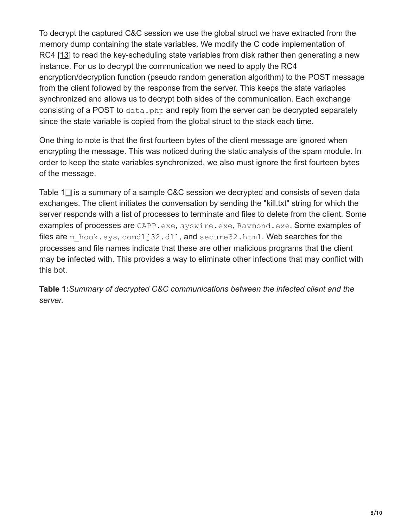To decrypt the captured C&C session we use the global struct we have extracted from the memory dump containing the state variables. We modify the C code implementation of RC4 [[13](https://www.usenix.org/legacy/event/hotbots07/tech/full_papers/chiang/chiang_html/index.html#rc41)] to read the key-scheduling state variables from disk rather then generating a new instance. For us to decrypt the communication we need to apply the RC4 encryption/decryption function (pseudo random generation algorithm) to the POST message from the client followed by the response from the server. This keeps the state variables synchronized and allows us to decrypt both sides of the communication. Each exchange consisting of a POST to  $data.\text{php}$  and reply from the server can be decrypted separately since the state variable is copied from the global struct to the stack each time.

One thing to note is that the first fourteen bytes of the client message are ignored when encrypting the message. This was noticed during the static analysis of the spam module. In order to keep the state variables synchronized, we also must ignore the first fourteen bytes of the message.

Table  $1\Box$  is a summary of a sample C&C session we decrypted and consists of seven data exchanges. The client initiates the conversation by sending the "kill.txt" string for which the server responds with a list of processes to terminate and files to delete from the client. Some examples of processes are CAPP.exe, syswire.exe, Ravmond.exe. Some examples of files are m\_hook.sys, comdlj32.dll, and secure32.html. Web searches for the processes and file names indicate that these are other malicious programs that the client may be infected with. This provides a way to eliminate other infections that may conflict with this bot.

**Table 1:***Summary of decrypted C&C communications between the infected client and the server.*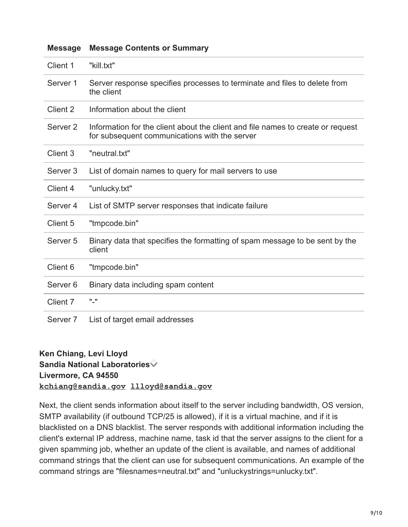| Client 1            | "kill.txt"                                                                                                                       |
|---------------------|----------------------------------------------------------------------------------------------------------------------------------|
| Server 1            | Server response specifies processes to terminate and files to delete from<br>the client                                          |
| Client 2            | Information about the client                                                                                                     |
| Server <sub>2</sub> | Information for the client about the client and file names to create or request<br>for subsequent communications with the server |
| Client 3            | "neutral.txt"                                                                                                                    |
| Server <sub>3</sub> | List of domain names to query for mail servers to use                                                                            |
| Client 4            | "unlucky.txt"                                                                                                                    |
| Server <sub>4</sub> | List of SMTP server responses that indicate failure                                                                              |
| Client 5            | "tmpcode.bin"                                                                                                                    |
| Server <sub>5</sub> | Binary data that specifies the formatting of spam message to be sent by the<br>client                                            |
| Client 6            | "tmpcode.bin"                                                                                                                    |
| Server <sub>6</sub> | Binary data including spam content                                                                                               |
| Client 7            | $^{\prime\prime}$ , $^{\prime\prime}$                                                                                            |
| Server <sub>7</sub> | List of target email addresses                                                                                                   |

## **Message Message Contents or Summary**

**Ken Chiang, Levi Lloyd Sandia National Laboratories Livermore, CA 94550 [kchiang@sandia.gov](http://10.10.0.46/mailto:kchiang@sandia.gov) [llloyd@sandia.gov](http://10.10.0.46/mailto:llloyd@sandia.gov)**

Next, the client sends information about itself to the server including bandwidth, OS version, SMTP availability (if outbound TCP/25 is allowed), if it is a virtual machine, and if it is blacklisted on a DNS blacklist. The server responds with additional information including the client's external IP address, machine name, task id that the server assigns to the client for a given spamming job, whether an update of the client is available, and names of additional command strings that the client can use for subsequent communications. An example of the command strings are "filesnames=neutral.txt" and "unluckystrings=unlucky.txt".